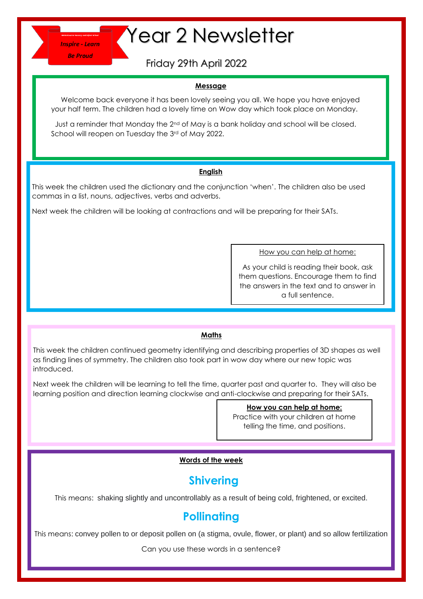**Be Proud** 

# **Thepire-Learn Year 2 Newsletter**

Friday 29th April 2022

### **Message**

 Welcome back everyone it has been lovely seeing you all. We hope you have enjoyed your half term. The children had a lovely time on Wow day which took place on Monday.

Just a reminder that Monday the 2<sup>nd</sup> of May is a bank holiday and school will be closed. School will reopen on Tuesday the 3rd of May 2022.

### **English**

This week the children used the dictionary and the conjunction 'when'. The children also be used commas in a list, nouns, adjectives, verbs and adverbs.

Next week the children will be looking at contractions and will be preparing for their SATs.

How you can help at home:

As your child is reading their book, ask them questions. Encourage them to find the answers in the text and to answer in a full sentence.

# **Maths**

This week the children continued geometry identifying and describing properties of 3D shapes as well as finding lines of symmetry. The children also took part in wow day where our new topic was introduced.

Next week the children will be learning to tell the time, quarter past and quarter to. They will also be learning position and direction learning clockwise and anti-clockwise and preparing for their SATs.

**How you can help at home:**

Practice with your children at home telling the time, and positions.

# **Words of the week**

# **Shivering**

This means: shaking slightly and uncontrollably as a result of being cold, frightened, or excited.

# **Pollinating**

This means: convey pollen to or deposit pollen on (a stigma, ovule, flower, or plant) and so allow fertilization

Can you use these words in a sentence?